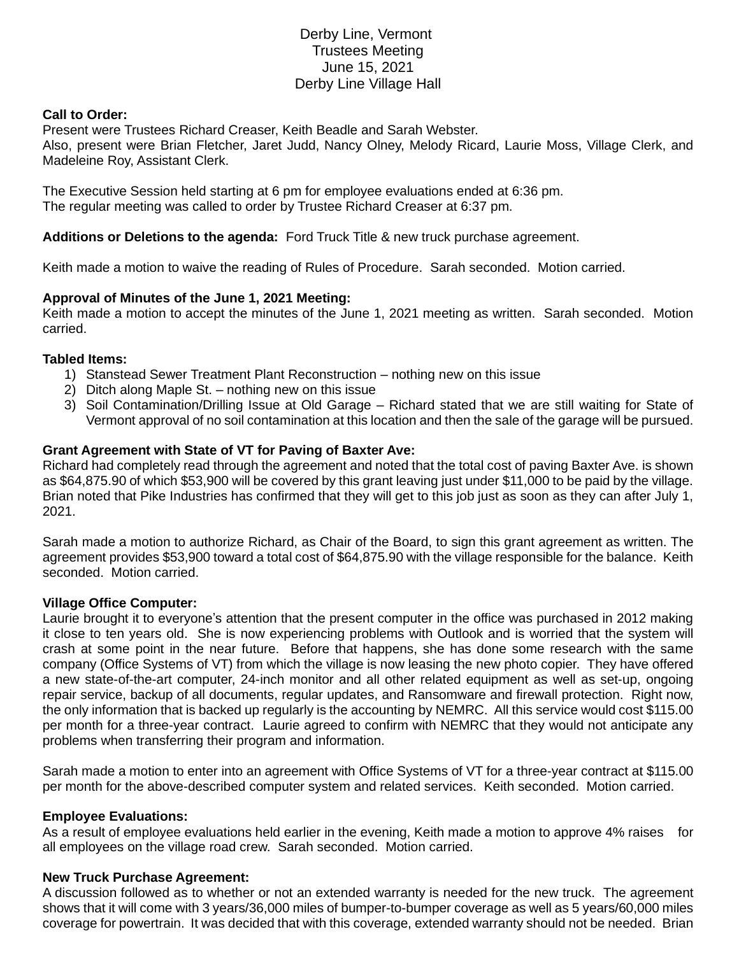# Derby Line, Vermont Trustees Meeting June 15, 2021 Derby Line Village Hall

## **Call to Order:**

Present were Trustees Richard Creaser, Keith Beadle and Sarah Webster. Also, present were Brian Fletcher, Jaret Judd, Nancy Olney, Melody Ricard, Laurie Moss, Village Clerk, and Madeleine Roy, Assistant Clerk.

The Executive Session held starting at 6 pm for employee evaluations ended at 6:36 pm. The regular meeting was called to order by Trustee Richard Creaser at 6:37 pm.

## **Additions or Deletions to the agenda:** Ford Truck Title & new truck purchase agreement.

Keith made a motion to waive the reading of Rules of Procedure. Sarah seconded. Motion carried.

## **Approval of Minutes of the June 1, 2021 Meeting:**

Keith made a motion to accept the minutes of the June 1, 2021 meeting as written. Sarah seconded. Motion carried.

#### **Tabled Items:**

- 1) Stanstead Sewer Treatment Plant Reconstruction nothing new on this issue
- 2) Ditch along Maple St. nothing new on this issue
- 3) Soil Contamination/Drilling Issue at Old Garage Richard stated that we are still waiting for State of Vermont approval of no soil contamination at this location and then the sale of the garage will be pursued.

## **Grant Agreement with State of VT for Paving of Baxter Ave:**

Richard had completely read through the agreement and noted that the total cost of paving Baxter Ave. is shown as \$64,875.90 of which \$53,900 will be covered by this grant leaving just under \$11,000 to be paid by the village. Brian noted that Pike Industries has confirmed that they will get to this job just as soon as they can after July 1, 2021.

Sarah made a motion to authorize Richard, as Chair of the Board, to sign this grant agreement as written. The agreement provides \$53,900 toward a total cost of \$64,875.90 with the village responsible for the balance. Keith seconded. Motion carried.

#### **Village Office Computer:**

Laurie brought it to everyone's attention that the present computer in the office was purchased in 2012 making it close to ten years old. She is now experiencing problems with Outlook and is worried that the system will crash at some point in the near future. Before that happens, she has done some research with the same company (Office Systems of VT) from which the village is now leasing the new photo copier. They have offered a new state-of-the-art computer, 24-inch monitor and all other related equipment as well as set-up, ongoing repair service, backup of all documents, regular updates, and Ransomware and firewall protection. Right now, the only information that is backed up regularly is the accounting by NEMRC. All this service would cost \$115.00 per month for a three-year contract. Laurie agreed to confirm with NEMRC that they would not anticipate any problems when transferring their program and information.

Sarah made a motion to enter into an agreement with Office Systems of VT for a three-year contract at \$115.00 per month for the above-described computer system and related services. Keith seconded. Motion carried.

#### **Employee Evaluations:**

As a result of employee evaluations held earlier in the evening, Keith made a motion to approve 4% raises for all employees on the village road crew. Sarah seconded. Motion carried.

#### **New Truck Purchase Agreement:**

A discussion followed as to whether or not an extended warranty is needed for the new truck. The agreement shows that it will come with 3 years/36,000 miles of bumper-to-bumper coverage as well as 5 years/60,000 miles coverage for powertrain. It was decided that with this coverage, extended warranty should not be needed. Brian